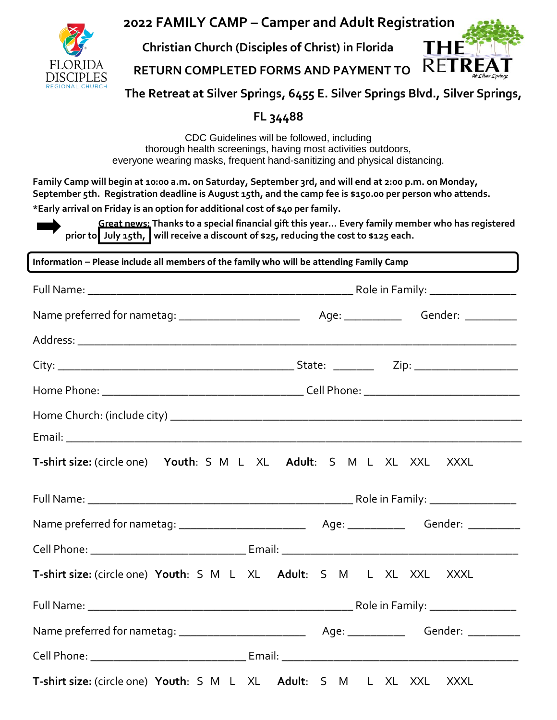

**2022 FAMILY CAMP – Camper and Adult Registration**

**Christian Church (Disciples of Christ) in Florida**

R |  **RETURN COMPLETED FORMS AND PAYMENT TO**



**The Retreat at Silver Springs, 6455 E. Silver Springs Blvd., Silver Springs,** 

# **FL 34488**

CDC Guidelines will be followed, including thorough health screenings, having most activities outdoors, everyone wearing masks, frequent hand-sanitizing and physical distancing.

**Family Camp will begin at 10:00 a.m. on Saturday, September 3rd, and will end at 2:00 p.m. on Monday, September 5th. Registration deadline is August 15th, and the camp fee is \$150.00 per person who attends. \*Early arrival on Friday is an option for additional cost of \$40 per family.**

**Great news: Thanks to a special financial gift this year… Every family member who has registered prior to July 15th, will receive a discount of \$25, reducing the cost to \$125 each.** 

**Information – Please include all members of the family who will be attending Family Camp**

| T-shirt size: (circle one) Youth: S M L XL Adult: S M L XL XXL XXXL |  |  |  |  |  |  |  |
|---------------------------------------------------------------------|--|--|--|--|--|--|--|
|                                                                     |  |  |  |  |  |  |  |
|                                                                     |  |  |  |  |  |  |  |
|                                                                     |  |  |  |  |  |  |  |
| T-shirt size: (circle one) Youth: S M L XL Adult: S M L XL XXL XXXL |  |  |  |  |  |  |  |
|                                                                     |  |  |  |  |  |  |  |
|                                                                     |  |  |  |  |  |  |  |
|                                                                     |  |  |  |  |  |  |  |
| T-shirt size: (circle one) Youth: S M L XL Adult: S M L XL XXL XXXL |  |  |  |  |  |  |  |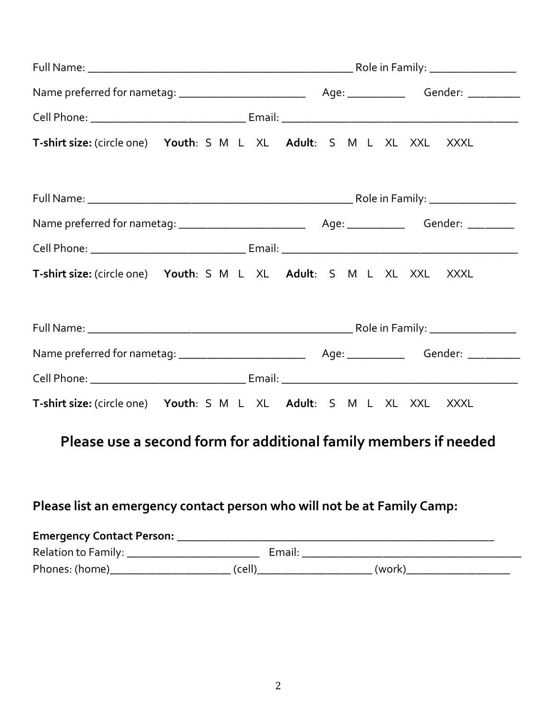| T-shirt size: (circle one) Youth: S M L XL Adult: S M L XL XXL XXXL |  |  |  |  |  |  |  |  |  |
|---------------------------------------------------------------------|--|--|--|--|--|--|--|--|--|
|                                                                     |  |  |  |  |  |  |  |  |  |
|                                                                     |  |  |  |  |  |  |  |  |  |
|                                                                     |  |  |  |  |  |  |  |  |  |
| T-shirt size: (circle one) Youth: S M L XL Adult: S M L XL XXL XXXL |  |  |  |  |  |  |  |  |  |
|                                                                     |  |  |  |  |  |  |  |  |  |
|                                                                     |  |  |  |  |  |  |  |  |  |
|                                                                     |  |  |  |  |  |  |  |  |  |
| T-shirt size: (circle one) Youth: S M L XL Adult: S M L XL XXL XXXL |  |  |  |  |  |  |  |  |  |

# **Please use a second form for additional family members if needed**

# **Please list an emergency contact person who will not be at Family Camp:**

| <b>Emergency Contact Person:</b> |        |        |        |  |
|----------------------------------|--------|--------|--------|--|
| Relation to Family:              |        | Email: |        |  |
| Phones: (home)                   | (cell) |        | (work) |  |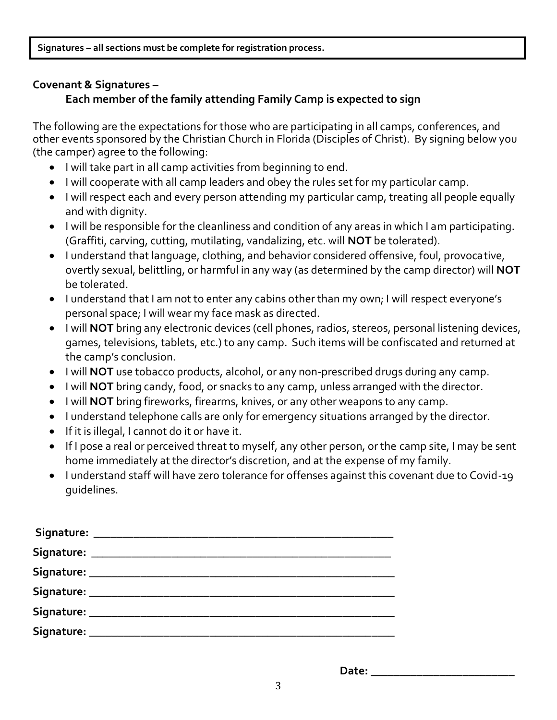**Signatures – all sections must be complete for registration process.**

### **Covenant & Signatures –**

### **Each member of the family attending Family Camp is expected to sign**

The following are the expectations for those who are participating in all camps, conferences, and other events sponsored by the Christian Church in Florida (Disciples of Christ). By signing below you (the camper) agree to the following:

- I will take part in all camp activities from beginning to end.
- I will cooperate with all camp leaders and obey the rules set for my particular camp.
- I will respect each and every person attending my particular camp, treating all people equally and with dignity.
- I will be responsible for the cleanliness and condition of any areas in which I am participating. (Graffiti, carving, cutting, mutilating, vandalizing, etc. will **NOT** be tolerated).
- I understand that language, clothing, and behavior considered offensive, foul, provocative, overtly sexual, belittling, or harmful in any way (as determined by the camp director) will **NOT** be tolerated.
- I understand that I am not to enter any cabins other than my own; I will respect everyone's personal space; I will wear my face mask as directed.
- I will **NOT** bring any electronic devices (cell phones, radios, stereos, personal listening devices, games, televisions, tablets, etc.) to any camp. Such items will be confiscated and returned at the camp's conclusion.
- I will **NOT** use tobacco products, alcohol, or any non-prescribed drugs during any camp.
- I will **NOT** bring candy, food, or snacks to any camp, unless arranged with the director.
- I will **NOT** bring fireworks, firearms, knives, or any other weapons to any camp.
- I understand telephone calls are only for emergency situations arranged by the director.
- If it is illegal, I cannot do it or have it.
- If I pose a real or perceived threat to myself, any other person, or the camp site, I may be sent home immediately at the director's discretion, and at the expense of my family.
- I understand staff will have zero tolerance for offenses against this covenant due to Covid-19 guidelines.

**Date: \_\_\_\_\_\_\_\_\_\_\_\_\_\_\_\_\_\_\_\_\_\_\_\_\_**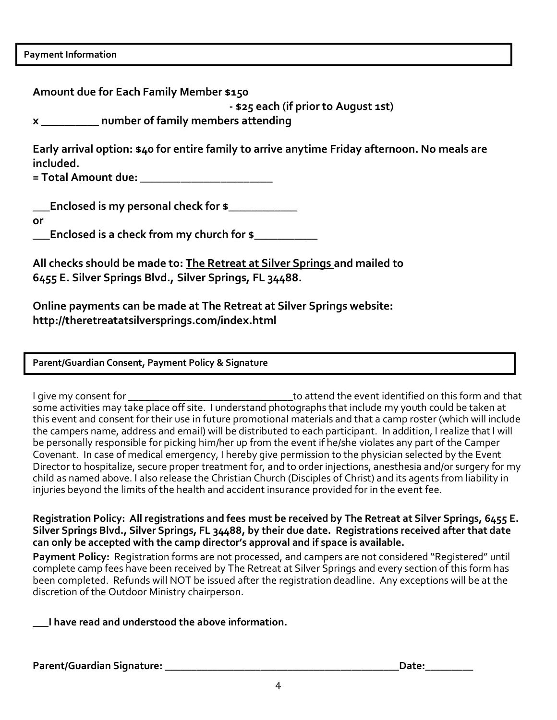|  | <b>Payment Information</b> |
|--|----------------------------|
|--|----------------------------|

| Amount due for Each Family Member \$150<br>- \$25 each (if prior to August 1st)                                                                                                                                                                                                                                                                  |
|--------------------------------------------------------------------------------------------------------------------------------------------------------------------------------------------------------------------------------------------------------------------------------------------------------------------------------------------------|
| x ___________ number of family members attending                                                                                                                                                                                                                                                                                                 |
| Early arrival option: \$40 for entire family to arrive anytime Friday afternoon. No meals are<br>included.<br>= Total Amount due: __________________________                                                                                                                                                                                     |
| Enclosed is my personal check for \$<br>or<br>Enclosed is a check from my church for \$________                                                                                                                                                                                                                                                  |
| All checks should be made to: The Retreat at Silver Springs and mailed to<br>6455 E. Silver Springs Blvd., Silver Springs, FL 34488.                                                                                                                                                                                                             |
| Online payments can be made at The Retreat at Silver Springs website:<br>http://theretreatatsilversprings.com/index.html                                                                                                                                                                                                                         |
| Parent/Guardian Consent, Payment Policy & Signature                                                                                                                                                                                                                                                                                              |
| and a common stability of the control of the stability of the following the control of the control of the control of the control of the control of the control of the control of the control of the control of the control of<br>and the state of the state of the state of the state of the state of the state of the state of the state of the |

I give my consent for \_\_\_\_\_\_\_\_\_\_\_\_\_\_\_\_\_\_\_\_\_\_\_\_\_\_\_\_\_\_\_to attend the event identified on this form and that some activities may take place off site. I understand photographs that include my youth could be taken at this event and consent for their use in future promotional materials and that a camp roster (which will include the campers name, address and email) will be distributed to each participant. In addition, I realize that I will be personally responsible for picking him/her up from the event if he/she violates any part of the Camper Covenant. In case of medical emergency, I hereby give permission to the physician selected by the Event Director to hospitalize, secure proper treatment for, and to order injections, anesthesia and/or surgery for my child as named above. I also release the Christian Church (Disciples of Christ) and its agents from liability in injuries beyond the limits of the health and accident insurance provided for in the event fee.

**Registration Policy: All registrations and fees must be received by The Retreat at Silver Springs, 6455 E. Silver Springs Blvd., Silver Springs, FL 34488, by their due date. Registrations received after that date can only be accepted with the camp director's approval and if space is available.** 

**Payment Policy:** Registration forms are not processed, and campers are not considered "Registered" until complete camp fees have been received by The Retreat at Silver Springs and every section of this form has been completed. Refunds will NOT be issued after the registration deadline. Any exceptions will be at the discretion of the Outdoor Ministry chairperson.

**\_\_\_I have read and understood the above information.**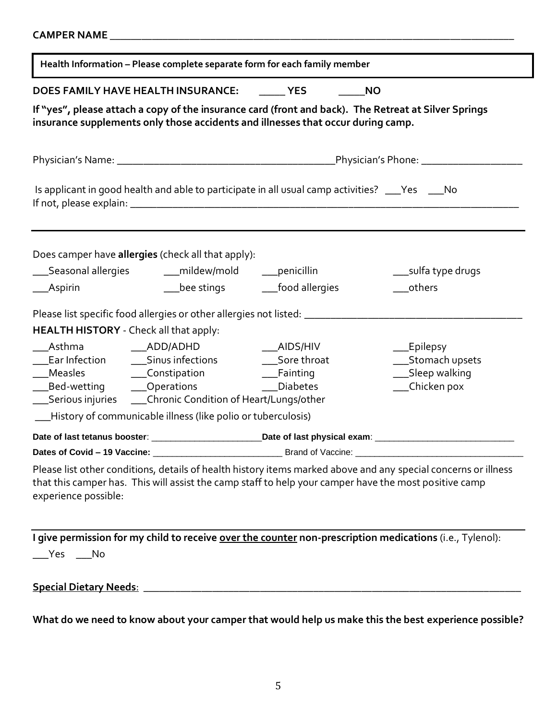|                                        | Health Information - Please complete separate form for each family member |                                                                                                                                                                                          |                      |  |  |  |
|----------------------------------------|---------------------------------------------------------------------------|------------------------------------------------------------------------------------------------------------------------------------------------------------------------------------------|----------------------|--|--|--|
|                                        | DOES FAMILY HAVE HEALTH INSURANCE: YES                                    | <b>NO</b>                                                                                                                                                                                |                      |  |  |  |
|                                        |                                                                           | If "yes", please attach a copy of the insurance card (front and back). The Retreat at Silver Springs<br>insurance supplements only those accidents and illnesses that occur during camp. |                      |  |  |  |
|                                        |                                                                           |                                                                                                                                                                                          |                      |  |  |  |
|                                        |                                                                           | Is applicant in good health and able to participate in all usual camp activities? ___Yes ___No                                                                                           |                      |  |  |  |
|                                        | Does camper have allergies (check all that apply):                        |                                                                                                                                                                                          |                      |  |  |  |
|                                        | ____Seasonal allergies _________mildew/mold _________penicillin           |                                                                                                                                                                                          | ____sulfa type drugs |  |  |  |
| ___Aspirin                             |                                                                           | __bee stings _________food allergies                                                                                                                                                     | ____others           |  |  |  |
|                                        |                                                                           |                                                                                                                                                                                          |                      |  |  |  |
| HEALTH HISTORY - Check all that apply: |                                                                           |                                                                                                                                                                                          |                      |  |  |  |
| Asthma ______________ADD/ADHD          |                                                                           | <b>Example 2</b> AIDS/HIV                                                                                                                                                                | __Epilepsy           |  |  |  |
|                                        |                                                                           |                                                                                                                                                                                          | __Stomach upsets     |  |  |  |
|                                        |                                                                           |                                                                                                                                                                                          | __Sleep walking      |  |  |  |
|                                        | _Bed-wetting ______Operations _______________Diabetes                     |                                                                                                                                                                                          | __Chicken pox        |  |  |  |
|                                        | __Serious injuries _____Chronic Condition of Heart/Lungs/other            |                                                                                                                                                                                          |                      |  |  |  |
|                                        | -History of communicable illness (like polio or tuberculosis)             |                                                                                                                                                                                          |                      |  |  |  |
|                                        |                                                                           |                                                                                                                                                                                          |                      |  |  |  |
|                                        |                                                                           |                                                                                                                                                                                          |                      |  |  |  |

|                                                                                                                                                                                                                            |  |  | I give permission for my child to receive over the counter non-prescription medications (i.e., Tylenol): |
|----------------------------------------------------------------------------------------------------------------------------------------------------------------------------------------------------------------------------|--|--|----------------------------------------------------------------------------------------------------------|
| $\rule{1em}{0.15mm}$ $\qquad$ $\qquad$ $\blacksquare$ $\blacksquare$ $\blacksquare$ $\blacksquare$ $\blacksquare$ $\blacksquare$ $\blacksquare$ $\blacksquare$ $\blacksquare$ $\blacksquare$ $\blacksquare$ $\blacksquare$ |  |  |                                                                                                          |

**Special Dietary Needs**: \_\_\_\_\_\_\_\_\_\_\_\_\_\_\_\_\_\_\_\_\_\_\_\_\_\_\_\_\_\_\_\_\_\_\_\_\_\_\_\_\_\_\_\_\_\_\_\_\_\_\_\_\_\_\_\_\_\_\_\_\_\_\_\_\_\_\_\_\_\_\_

**What do we need to know about your camper that would help us make this the best experience possible?**